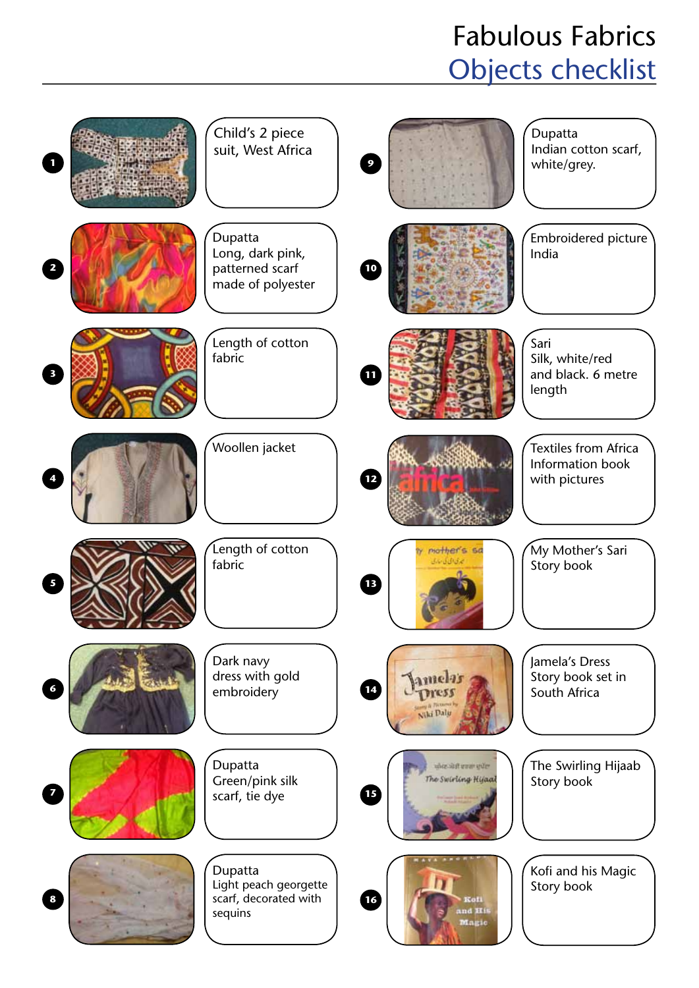## Fabulous Fabrics Objects checklist